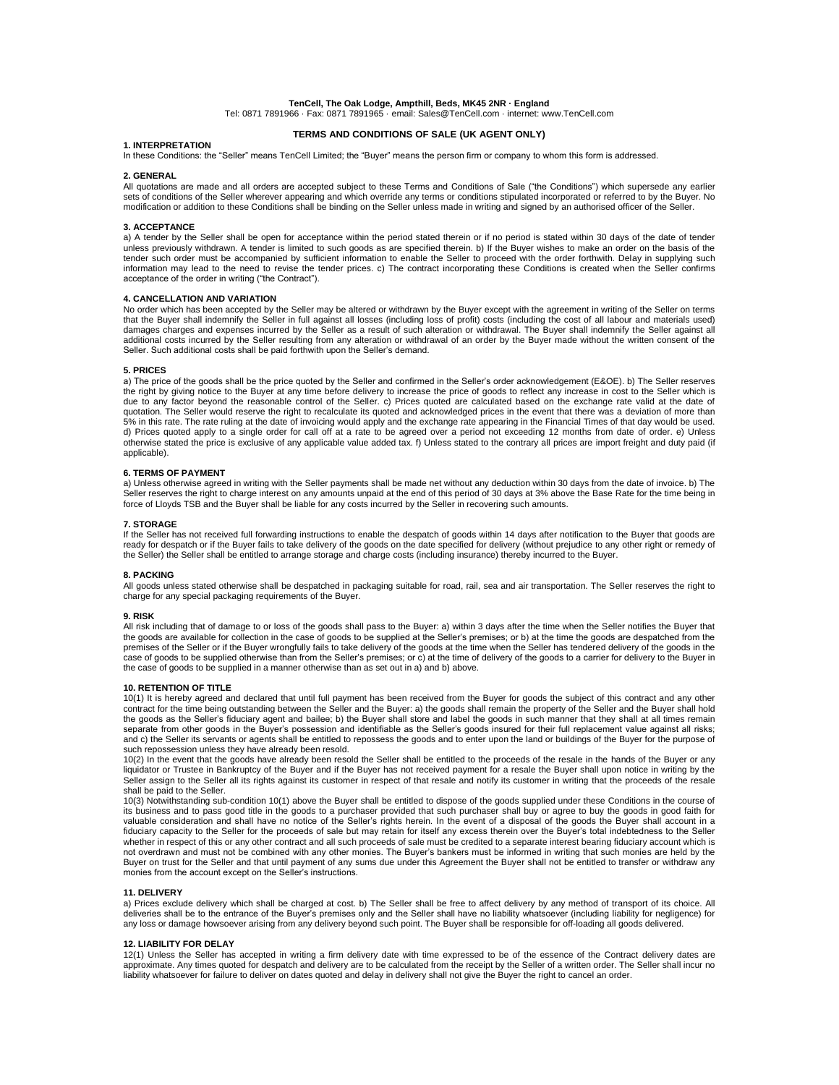# **TenCell, The Oak Lodge, Ampthill, Beds, MK45 2NR · England**

Tel: 0871 7891966 · Fax: 0871 7891965 · email: Sales@TenCell.com · internet: www.TenCell.com

# **TERMS AND CONDITIONS OF SALE (UK AGENT ONLY)**

# **1. INTERPRETATION**

In these Conditions: the "Seller" means TenCell Limited; the "Buyer" means the person firm or company to whom this form is addressed.

#### **2. GENERAL**

All quotations are made and all orders are accepted subject to these Terms and Conditions of Sale ("the Conditions") which supersede any earlier<br>sets of conditions of the Seller wherever appearing and which override any te modification or addition to these Conditions shall be binding on the Seller unless made in writing and signed by an authorised officer of the Seller.

## **3. ACCEPTANCE**

a) A tender by the Seller shall be open for acceptance within the period stated therein or if no period is stated within 30 days of the date of tender unless previously withdrawn. A tender is limited to such goods as are specified therein. b) If the Buyer wishes to make an order on the basis of the tender such order must be accompanied by sufficient information to enable the Seller to proceed with the order forthwith. Delay in supplying such information may lead to the need to revise the tender prices. c) The contract incorporating these Conditions is created when the Seller confirms acceptance of the order in writing ("the Contract").

# **4. CANCELLATION AND VARIATION**

No order which has been accepted by the Seller may be altered or withdrawn by the Buyer except with the agreement in writing of the Seller on terms<br>that the Buyer shall indemnify the Seller in full against all losses (incl damages charges and expenses incurred by the Seller as a result of such alteration or withdrawal. The Buyer shall indemnify the Seller against all additional costs incurred by the Seller resulting from any alteration or withdrawal of an order by the Buyer made without the written consent of the Seller. Such additional costs shall be paid forthwith upon the Seller's demand.

#### **5. PRICES**

a) The price of the goods shall be the price quoted by the Seller and confirmed in the Seller's order acknowledgement (E&OE). b) The Seller reserves the right by giving notice to the Buyer at any time before delivery to increase the price of goods to reflect any increase in cost to the Seller which is due to any factor beyond the reasonable control of the Seller. c) Prices quoted are calculated based on the exchange rate valid at the date of quotation. The Seller would reserve the right to recalculate its quoted and acknowledged prices in the event that there was a deviation of more than 5% in this rate. The rate ruling at the date of invoicing would apply and the exchange rate appearing in the Financial Times of that day would be used. d) Prices quoted apply to a single order for call off at a rate to be agreed over a period not exceeding 12 months from date of order. e) Unless<br>otherwise stated the price is exclusive of any applicable value added tax. f) applicable).

### **6. TERMS OF PAYMENT**

a) Unless otherwise agreed in writing with the Seller payments shall be made net without any deduction within 30 days from the date of invoice. b) The Seller reserves the right to charge interest on any amounts unpaid at the end of this period of 30 days at 3% above the Base Rate for the time being in force of Lloyds TSB and the Buyer shall be liable for any costs incurred by the Seller in recovering such amounts.

#### **7. STORAGE**

If the Seller has not received full forwarding instructions to enable the despatch of goods within 14 days after notification to the Buyer that goods are ready for despatch or if the Buyer fails to take delivery of the goods on the date specified for delivery (without prejudice to any other right or remedy of<br>the Seller) the Seller shall be entitled to arrange storage and c

**8. PACKING**  All goods unless stated otherwise shall be despatched in packaging suitable for road, rail, sea and air transportation. The Seller reserves the right to charge for any special packaging requirements of the Buyer.

#### **9. RISK**

All risk including that of damage to or loss of the goods shall pass to the Buyer: a) within 3 days after the time when the Seller notifies the Buyer that the goods are available for collection in the case of goods to be supplied at the Seller's premises; or b) at the time the goods are despatched from the premises of the Seller or if the Buyer wrongfully fails to take delivery of the goods at the time when the Seller has tendered delivery of the goods in the case of goods to be supplied otherwise than from the Seller's premises; or c) at the time of delivery of the goods to a carrier for delivery to the Buyer in the case of goods to be supplied in a manner otherwise than as set out in a) and b) above.

#### **10. RETENTION OF TITLE**

10(1) It is hereby agreed and declared that until full payment has been received from the Buyer for goods the subject of this contract and any other contract for the time being outstanding between the Seller and the Buyer: a) the goods shall remain the property of the Seller and the Buyer shall hold the goods as the Seller's fiduciary agent and bailee; b) the Buyer shall store and label the goods in such manner that they shall at all times remain separate from other goods in the Buyer's possession and identifiable as the Seller's goods insured for their full replacement value against all risks; and c) the Seller its servants or agents shall be entitled to repossess the goods and to enter upon the land or buildings of the Buyer for the purpose of such repossession unless they have already been resold.

10(2) In the event that the goods have already been resold the Seller shall be entitled to the proceeds of the resale in the hands of the Buyer or any liquidator or Trustee in Bankruptcy of the Buyer and if the Buyer has not received payment for a resale the Buyer shall upon notice in writing by the Seller assign to the Seller all its rights against its customer in respect of that resale and notify its customer in writing that the proceeds of the re shall be paid to the Seller.<br>10(3) Notwithstanding sub-condition 10(1) above the Buyer shall be entitled to dispose of the goods supplied under these Conditions in the course of

its business and to pass good title in the goods to a purchaser provided that such purchaser shall buy or agree to buy the goods in good faith for<br>valuable consideration and shall have no notice of the Seller's rights here fiduciary capacity to the Seller for the proceeds of sale but may retain for itself any excess therein over the Buyer's total indebtedness to the Seller whether in respect of this or any other contract and all such proceeds of sale must be credited to a separate interest bearing fiduciary account which is not overdrawn and must not be combined with any other monies. The Buyer's bankers must be informed in writing that such monies are held by the<br>Buyer on trust for the Seller and that until payment of any sums due under this monies from the account except on the Seller's instructions.

#### **11. DELIVERY**

a) Prices exclude delivery which shall be charged at cost. b) The Seller shall be free to affect delivery by any method of transport of its choice. All deliveries shall be to the entrance of the Buyer's premises only and the Seller shall have no liability whatsoever (including liability for negligence) for<br>any loss or damage howsoever arising from any delivery beyond such

#### **12. LIABILITY FOR DELAY**

12(1) Unless the Seller has accepted in writing a firm delivery date with time expressed to be of the essence of the Contract delivery dates are approximate. Any times quoted for despatch and delivery are to be calculated from the receipt by the Seller of a written order. The Seller shall incur no liability whatsoever for failure to deliver on dates quoted and delay in delivery shall not give the Buyer the right to cancel an order.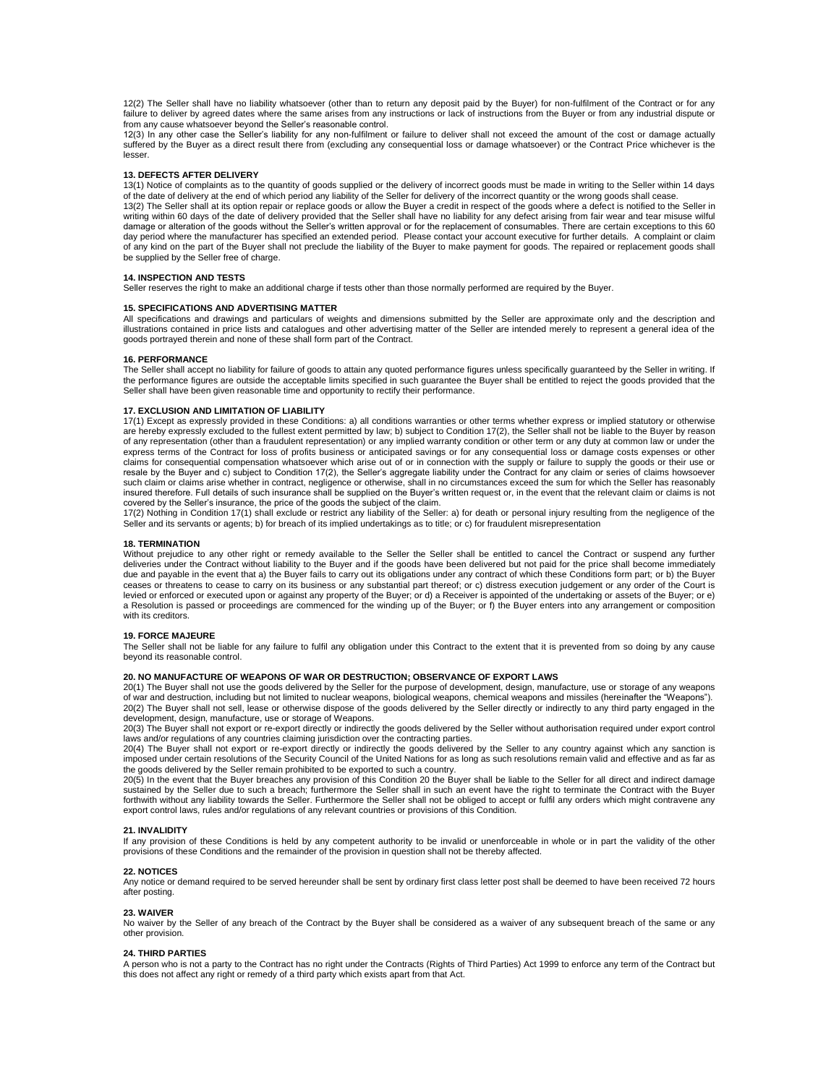12(2) The Seller shall have no liability whatsoever (other than to return any deposit paid by the Buyer) for non-fulfilment of the Contract or for any failure to deliver by agreed dates where the same arises from any instructions or lack of instructions from the Buyer or from any industrial dispute or from any cause whatsoever beyond the Seller's reasonable control.

12(3) In any other case the Seller's liability for any non-fulfilment or failure to deliver shall not exceed the amount of the cost or damage actually suffered by the Buyer as a direct result there from (excluding any consequential loss or damage whatsoever) or the Contract Price whichever is the lesser.

# **13. DEFECTS AFTER DELIVERY**

13(1) Notice of complaints as to the quantity of goods supplied or the delivery of incorrect goods must be made in writing to the Seller within 14 days<br>of the date of delivery at the end of which period any liability of th 13(2) The Seller shall at its option repair or replace goods or allow the Buyer a credit in respect of the goods where a defect is notified to the Seller in writing within 60 days of the date of delivery provided that the Seller shall have no liability for any defect arising from fair wear and tear misuse wilful damage or alteration of the goods without the Seller's written approval or for the replacement of consumables. There are certain exceptions to this 60 day period where the manufacturer has specified an extended period. Please contact your account executive for further details. A complaint or claim<br>of any kind on the part of the Buyer shall not preclude the liability of

### **14. INSPECTION AND TESTS**

Seller reserves the right to make an additional charge if tests other than those normally performed are required by the Buyer.

# **15. SPECIFICATIONS AND ADVERTISING MATTER**

All specifications and drawings and particulars of weights and dimensions submitted by the Seller are approximate only and the description and illustrations contained in price lists and catalogues and other advertising matter of the Seller are intended merely to represent a general idea of the goods portrayed therein and none of these shall form part of the Contract.

# **16. PERFORMANCE**

The Seller shall accept no liability for failure of goods to attain any quoted performance figures unless specifically guaranteed by the Seller in writing. If the performance figures are outside the acceptable limits specified in such guarantee the Buyer shall be entitled to reject the goods provided that the Seller shall have been given reasonable time and opportunity to rectify their performance.

## **17. EXCLUSION AND LIMITATION OF LIABILITY**

17(1) Except as expressly provided in these Conditions: a) all conditions warranties or other terms whether express or implied statutory or otherwise are hereby expressly excluded to the fullest extent permitted by law; b) subject to Condition 17(2), the Seller shall not be liable to the Buyer by reason of any representation (other than a fraudulent representation) or any implied warranty condition or other term or any duty at common law or under the express terms of the Contract for loss of profits business or anticipated savings or for any consequential loss or damage costs expenses or other claims for consequential compensation whatsoever which arise out of or in connection with the supply or failure to supply the goods or their use or resale by the Buyer and c) subject to Condition 17(2), the Seller's aggregate liability under the Contract for any claim or series of claims howsoever such claim or claims arise whether in contract, negligence or otherwise, shall in no circumstances exceed the sum for which the Seller has reasonably insured therefore. Full details of such insurance shall be supplied on the Buyer's written request or, in the event that the relevant claim or claims is not covered by the Seller's insurance, the price of the goods the subject of the claim.

17(2) Nothing in Condition 17(1) shall exclude or restrict any liability of the Seller: a) for death or personal injury resulting from the negligence of the Seller and its servants or agents; b) for breach of its implied undertakings as to title; or c) for fraudulent misrepresentation

# **18. TERMINATION**

Without prejudice to any other right or remedy available to the Seller the Seller shall be entitled to cancel the Contract or suspend any further deliveries under the Contract without liability to the Buyer and if the goods have been delivered but not paid for the price shall become immediately<br>due and payable in the event that a) the Buyer fails to carry out its ob ceases or threatens to cease to carry on its business or any substantial part thereof; or c) distress execution judgement or any order of the Court is<br>levied or enforced or executed upon or against any property of the Buye with its creditors.

# **19. FORCE MAJEURE**

The Seller shall not be liable for any failure to fulfil any obligation under this Contract to the extent that it is prevented from so doing by any cause beyond its reasonable control.

# **20. NO MANUFACTURE OF WEAPONS OF WAR OR DESTRUCTION; OBSERVANCE OF EXPORT LAWS**

20(1) The Buyer shall not use the goods delivered by the Seller for the purpose of development, design, manufacture, use or storage of any weapons of war and destruction, including but not limited to nuclear weapons, biological weapons, chemical weapons and missiles (hereinafter the "Weapons"). 20(2) The Buyer shall not sell, lease or otherwise dispose of the goods delivered by the Seller directly or indirectly to any third party engaged in the development, design, manufacture, use or storage of Weapons.

20(3) The Buyer shall not export or re-export directly or indirectly the goods delivered by the Seller without authorisation required under export control laws and/or regulations of any countries claiming jurisdiction over the contracting parties.

20(4) The Buyer shall not export or re-export directly or indirectly the goods delivered by the Seller to any country against which any sanction is imposed under certain resolutions of the Security Council of the United Nations for as long as such resolutions remain valid and effective and as far as the goods delivered by the Seller remain prohibited to be exported to such a country.

20(5) In the event that the Buyer breaches any provision of this Condition 20 the Buyer shall be liable to the Seller for all direct and indirect damage sustained by the Seller due to such a breach; furthermore the Seller shall in such an event have the right to terminate the Contract with the Buyer<br>forthwith without any liability towards the Seller. Furthermore the Seller export control laws, rules and/or regulations of any relevant countries or provisions of this Condition.

# **21. INVALIDITY**

If any provision of these Conditions is held by any competent authority to be invalid or unenforceable in whole or in part the validity of the other provisions of these Conditions and the remainder of the provision in question shall not be thereby affected.

# **22. NOTICES**

Any notice or demand required to be served hereunder shall be sent by ordinary first class letter post shall be deemed to have been received 72 hours after posting.

# **23. WAIVER**

No waiver by the Seller of any breach of the Contract by the Buyer shall be considered as a waiver of any subsequent breach of the same or any other provision.

### **24. THIRD PARTIES**

A person who is not a party to the Contract has no right under the Contracts (Rights of Third Parties) Act 1999 to enforce any term of the Contract but this does not affect any right or remedy of a third party which exists apart from that Act.